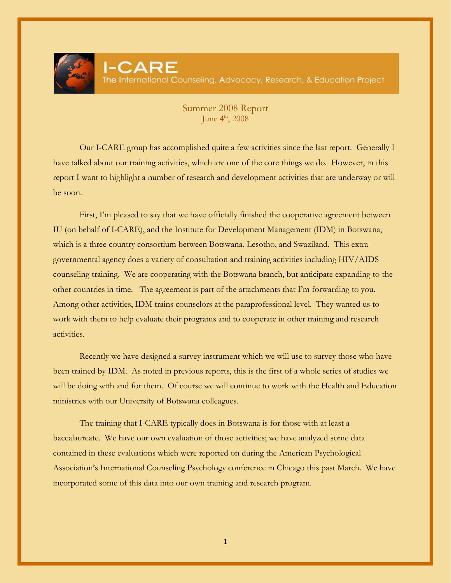

## Summer 2008 Report June  $4^{\text{th}}$ , 2008

Our I-CARE group has accomplished quite a few activities since the last report. Generally I have talked about our training activities, which are one of the core things we do. However, in this report I want to highlight a number of research and development activities that are underway or will be soon.

First, I'm pleased to say that we have officially finished the cooperative agreement between IU (on behalf of I-CARE), and the Institute for Development Management (IDM) in Botswana, which is a three country consortium between Botswana, Lesotho, and Swaziland. This extragovernmental agency does a variety of consultation and training activities including HIV/AIDS counseling training. We are cooperating with the Botswana branch, but anticipate expanding to the other countries in time. The agreement is part of the attachments that I'm forwarding to you. Among other activities, IDM trains counselors at the paraprofessional level. They wanted us to work with them to help evaluate their programs and to cooperate in other training and research activities.

Recently we have designed a survey instrument which we will use to survey those who have been trained by IDM. As noted in previous reports, this is the first of a whole series of studies we will be doing with and for them. Of course we will continue to work with the Health and Education ministries with our University of Botswana colleagues.

The training that I-CARE typically does in Botswana is for those with at least a baccalaureate. We have our own evaluation of those activities; we have analyzed some data contained in these evaluations which were reported on during the American Psychological Association's International Counseling Psychology conference in Chicago this past March. We have incorporated some of this data into our own training and research program.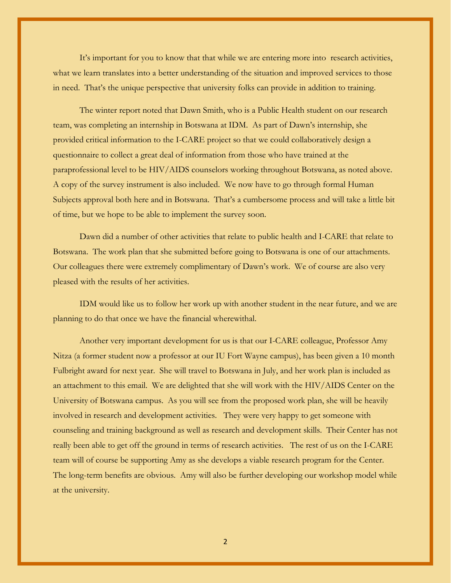It's important for you to know that that while we are entering more into research activities, what we learn translates into a better understanding of the situation and improved services to those in need. That's the unique perspective that university folks can provide in addition to training.

The winter report noted that Dawn Smith, who is a Public Health student on our research team, was completing an internship in Botswana at IDM. As part of Dawn's internship, she provided critical information to the I-CARE project so that we could collaboratively design a questionnaire to collect a great deal of information from those who have trained at the paraprofessional level to be HIV/AIDS counselors working throughout Botswana, as noted above. A copy of the survey instrument is also included. We now have to go through formal Human Subjects approval both here and in Botswana. That's a cumbersome process and will take a little bit of time, but we hope to be able to implement the survey soon.

Dawn did a number of other activities that relate to public health and I-CARE that relate to Botswana. The work plan that she submitted before going to Botswana is one of our attachments. Our colleagues there were extremely complimentary of Dawn's work. We of course are also very pleased with the results of her activities.

IDM would like us to follow her work up with another student in the near future, and we are planning to do that once we have the financial wherewithal.

Another very important development for us is that our I-CARE colleague, Professor Amy Nitza (a former student now a professor at our IU Fort Wayne campus), has been given a 10 month Fulbright award for next year. She will travel to Botswana in July, and her work plan is included as an attachment to this email. We are delighted that she will work with the HIV/AIDS Center on the University of Botswana campus. As you will see from the proposed work plan, she will be heavily involved in research and development activities. They were very happy to get someone with counseling and training background as well as research and development skills. Their Center has not really been able to get off the ground in terms of research activities. The rest of us on the I-CARE team will of course be supporting Amy as she develops a viable research program for the Center. The long-term benefits are obvious. Amy will also be further developing our workshop model while at the university.

2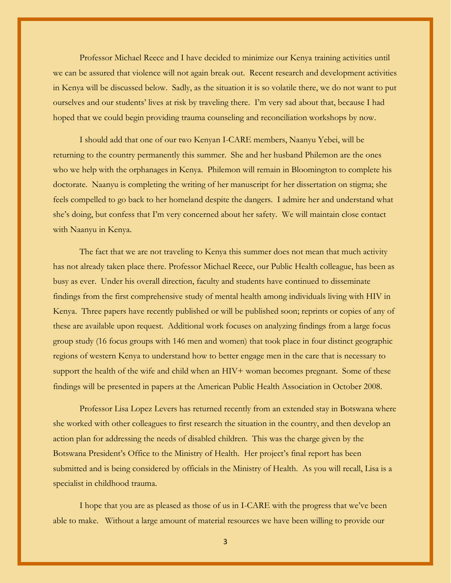Professor Michael Reece and I have decided to minimize our Kenya training activities until we can be assured that violence will not again break out. Recent research and development activities in Kenya will be discussed below. Sadly, as the situation it is so volatile there, we do not want to put ourselves and our students' lives at risk by traveling there. I'm very sad about that, because I had hoped that we could begin providing trauma counseling and reconciliation workshops by now.

I should add that one of our two Kenyan I-CARE members, Naanyu Yebei, will be returning to the country permanently this summer. She and her husband Philemon are the ones who we help with the orphanages in Kenya. Philemon will remain in Bloomington to complete his doctorate. Naanyu is completing the writing of her manuscript for her dissertation on stigma; she feels compelled to go back to her homeland despite the dangers. I admire her and understand what she's doing, but confess that I'm very concerned about her safety. We will maintain close contact with Naanyu in Kenya.

The fact that we are not traveling to Kenya this summer does not mean that much activity has not already taken place there. Professor Michael Reece, our Public Health colleague, has been as busy as ever. Under his overall direction, faculty and students have continued to disseminate findings from the first comprehensive study of mental health among individuals living with HIV in Kenya. Three papers have recently published or will be published soon; reprints or copies of any of these are available upon request. Additional work focuses on analyzing findings from a large focus group study (16 focus groups with 146 men and women) that took place in four distinct geographic regions of western Kenya to understand how to better engage men in the care that is necessary to support the health of the wife and child when an HIV+ woman becomes pregnant. Some of these findings will be presented in papers at the American Public Health Association in October 2008.

Professor Lisa Lopez Levers has returned recently from an extended stay in Botswana where she worked with other colleagues to first research the situation in the country, and then develop an action plan for addressing the needs of disabled children. This was the charge given by the Botswana President's Office to the Ministry of Health. Her project's final report has been submitted and is being considered by officials in the Ministry of Health. As you will recall, Lisa is a specialist in childhood trauma.

I hope that you are as pleased as those of us in I-CARE with the progress that we've been able to make. Without a large amount of material resources we have been willing to provide our